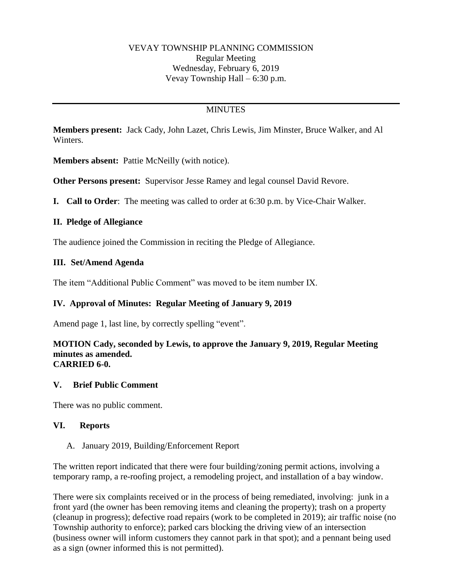# **MINUTES**

**Members present:** Jack Cady, John Lazet, Chris Lewis, Jim Minster, Bruce Walker, and Al Winters.

**Members absent:** Pattie McNeilly (with notice).

**Other Persons present:** Supervisor Jesse Ramey and legal counsel David Revore.

**I. Call to Order**: The meeting was called to order at 6:30 p.m. by Vice-Chair Walker.

### **II. Pledge of Allegiance**

The audience joined the Commission in reciting the Pledge of Allegiance.

# **III. Set/Amend Agenda**

The item "Additional Public Comment" was moved to be item number IX.

# **IV. Approval of Minutes: Regular Meeting of January 9, 2019**

Amend page 1, last line, by correctly spelling "event".

#### **MOTION Cady, seconded by Lewis, to approve the January 9, 2019, Regular Meeting minutes as amended. CARRIED 6-0.**

### **V. Brief Public Comment**

There was no public comment.

### **VI. Reports**

### A. January 2019, Building/Enforcement Report

The written report indicated that there were four building/zoning permit actions, involving a temporary ramp, a re-roofing project, a remodeling project, and installation of a bay window.

There were six complaints received or in the process of being remediated, involving: junk in a front yard (the owner has been removing items and cleaning the property); trash on a property (cleanup in progress); defective road repairs (work to be completed in 2019); air traffic noise (no Township authority to enforce); parked cars blocking the driving view of an intersection (business owner will inform customers they cannot park in that spot); and a pennant being used as a sign (owner informed this is not permitted).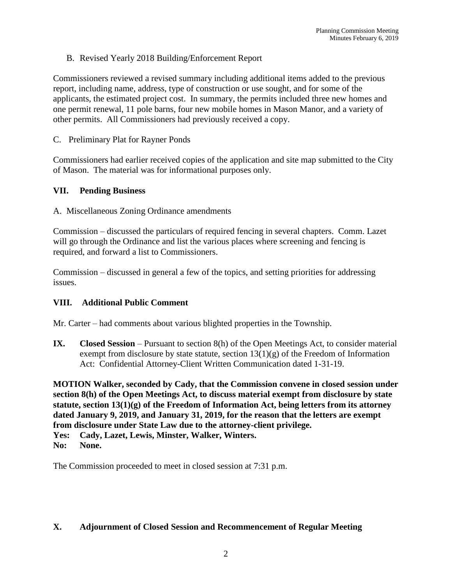B. Revised Yearly 2018 Building/Enforcement Report

Commissioners reviewed a revised summary including additional items added to the previous report, including name, address, type of construction or use sought, and for some of the applicants, the estimated project cost. In summary, the permits included three new homes and one permit renewal, 11 pole barns, four new mobile homes in Mason Manor, and a variety of other permits. All Commissioners had previously received a copy.

C. Preliminary Plat for Rayner Ponds

Commissioners had earlier received copies of the application and site map submitted to the City of Mason. The material was for informational purposes only.

### **VII. Pending Business**

A. Miscellaneous Zoning Ordinance amendments

Commission – discussed the particulars of required fencing in several chapters. Comm. Lazet will go through the Ordinance and list the various places where screening and fencing is required, and forward a list to Commissioners.

Commission – discussed in general a few of the topics, and setting priorities for addressing issues.

# **VIII. Additional Public Comment**

Mr. Carter – had comments about various blighted properties in the Township.

**IX. Closed Session** – Pursuant to section 8(h) of the Open Meetings Act, to consider material exempt from disclosure by state statute, section  $13(1)(g)$  of the Freedom of Information Act: Confidential Attorney-Client Written Communication dated 1-31-19.

**MOTION Walker, seconded by Cady, that the Commission convene in closed session under section 8(h) of the Open Meetings Act, to discuss material exempt from disclosure by state statute, section 13(1)(g) of the Freedom of Information Act, being letters from its attorney dated January 9, 2019, and January 31, 2019, for the reason that the letters are exempt from disclosure under State Law due to the attorney-client privilege.**

**Yes: Cady, Lazet, Lewis, Minster, Walker, Winters.**

The Commission proceeded to meet in closed session at 7:31 p.m.

### **X. Adjournment of Closed Session and Recommencement of Regular Meeting**

**No: None.**